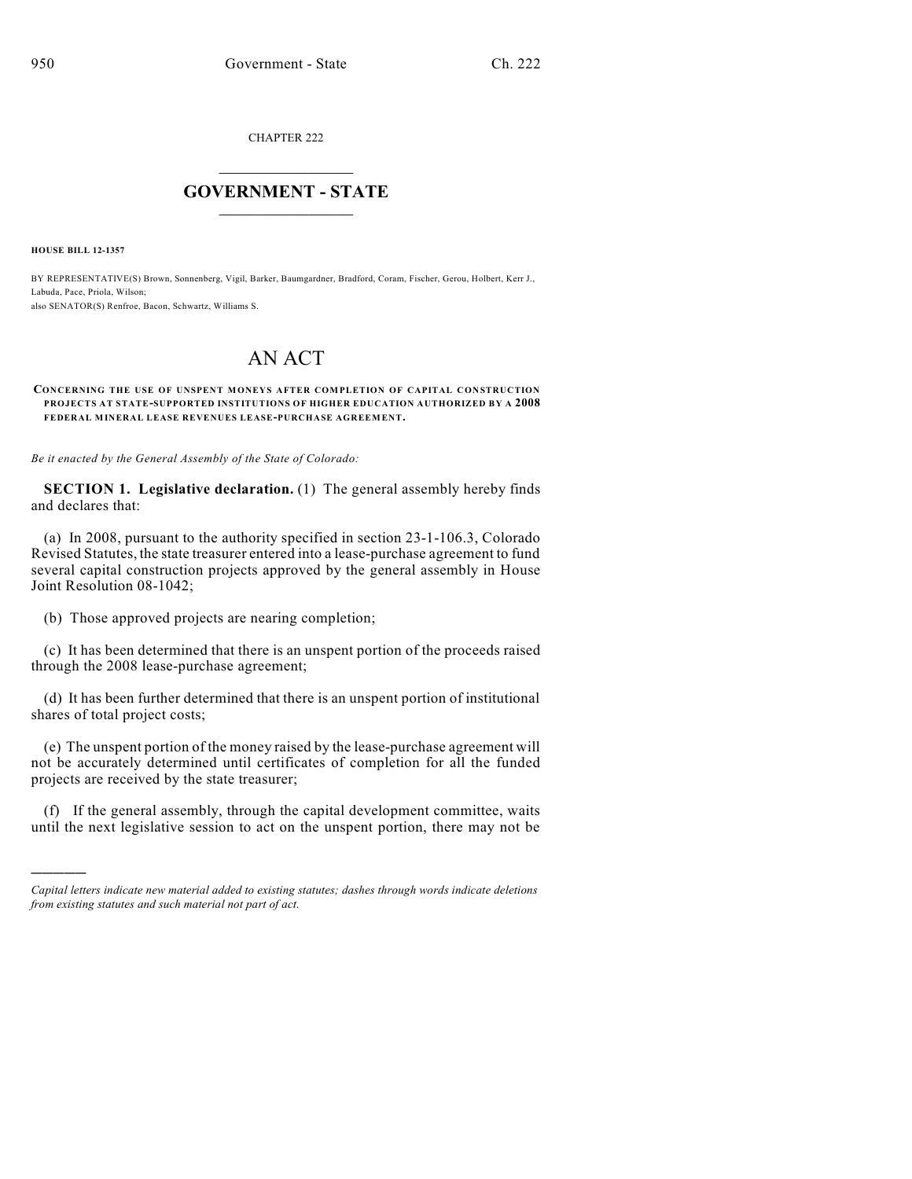CHAPTER 222

## $\overline{\phantom{a}}$  . The set of the set of the set of the set of the set of the set of the set of the set of the set of the set of the set of the set of the set of the set of the set of the set of the set of the set of the set o **GOVERNMENT - STATE**  $\_$

**HOUSE BILL 12-1357**

)))))

BY REPRESENTATIVE(S) Brown, Sonnenberg, Vigil, Barker, Baumgardner, Bradford, Coram, Fischer, Gerou, Holbert, Kerr J., Labuda, Pace, Priola, Wilson; also SENATOR(S) Renfroe, Bacon, Schwartz, Williams S.

## AN ACT

## **CONCERNING THE USE OF UNSPENT MONEYS AFTER COMPLETION OF CAPITAL CONSTRUCTION PROJECTS AT STATE-SUPPORTED INSTITUTIONS OF HIGHER EDUCATION AUTHORIZED BY A 2008 FEDERAL MINERAL LEASE REVENUES LEASE-PURCHASE AGREEMENT.**

*Be it enacted by the General Assembly of the State of Colorado:*

**SECTION 1. Legislative declaration.** (1) The general assembly hereby finds and declares that:

(a) In 2008, pursuant to the authority specified in section 23-1-106.3, Colorado Revised Statutes, the state treasurer entered into a lease-purchase agreement to fund several capital construction projects approved by the general assembly in House Joint Resolution 08-1042;

(b) Those approved projects are nearing completion;

(c) It has been determined that there is an unspent portion of the proceeds raised through the 2008 lease-purchase agreement;

(d) It has been further determined that there is an unspent portion of institutional shares of total project costs;

(e) The unspent portion of the money raised by the lease-purchase agreement will not be accurately determined until certificates of completion for all the funded projects are received by the state treasurer;

(f) If the general assembly, through the capital development committee, waits until the next legislative session to act on the unspent portion, there may not be

*Capital letters indicate new material added to existing statutes; dashes through words indicate deletions from existing statutes and such material not part of act.*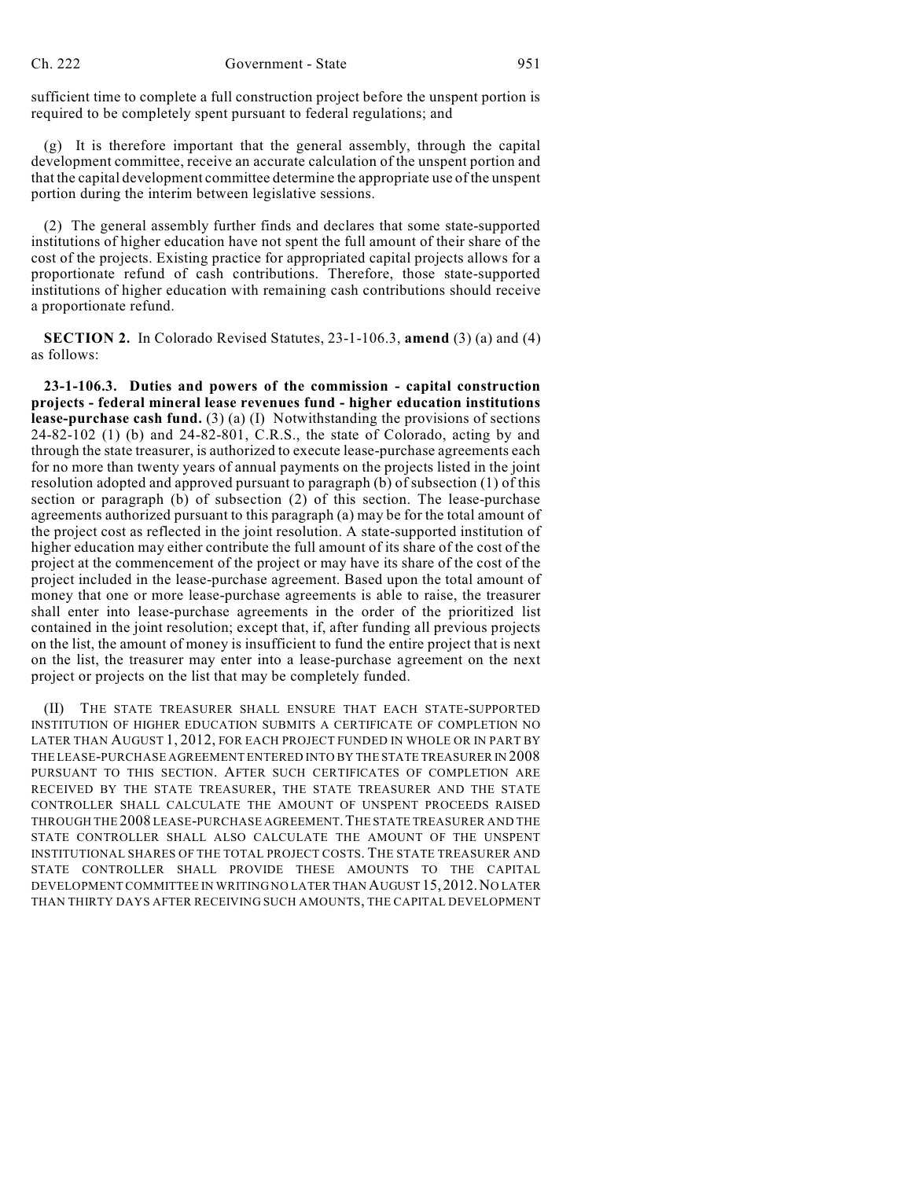sufficient time to complete a full construction project before the unspent portion is required to be completely spent pursuant to federal regulations; and

(g) It is therefore important that the general assembly, through the capital development committee, receive an accurate calculation of the unspent portion and that the capital development committee determine the appropriate use of the unspent portion during the interim between legislative sessions.

(2) The general assembly further finds and declares that some state-supported institutions of higher education have not spent the full amount of their share of the cost of the projects. Existing practice for appropriated capital projects allows for a proportionate refund of cash contributions. Therefore, those state-supported institutions of higher education with remaining cash contributions should receive a proportionate refund.

**SECTION 2.** In Colorado Revised Statutes, 23-1-106.3, **amend** (3) (a) and (4) as follows:

**23-1-106.3. Duties and powers of the commission - capital construction projects - federal mineral lease revenues fund - higher education institutions lease-purchase cash fund.** (3) (a) (I) Notwithstanding the provisions of sections 24-82-102 (1) (b) and 24-82-801, C.R.S., the state of Colorado, acting by and through the state treasurer, is authorized to execute lease-purchase agreements each for no more than twenty years of annual payments on the projects listed in the joint resolution adopted and approved pursuant to paragraph (b) of subsection (1) of this section or paragraph (b) of subsection (2) of this section. The lease-purchase agreements authorized pursuant to this paragraph (a) may be for the total amount of the project cost as reflected in the joint resolution. A state-supported institution of higher education may either contribute the full amount of its share of the cost of the project at the commencement of the project or may have its share of the cost of the project included in the lease-purchase agreement. Based upon the total amount of money that one or more lease-purchase agreements is able to raise, the treasurer shall enter into lease-purchase agreements in the order of the prioritized list contained in the joint resolution; except that, if, after funding all previous projects on the list, the amount of money is insufficient to fund the entire project that is next on the list, the treasurer may enter into a lease-purchase agreement on the next project or projects on the list that may be completely funded.

(II) THE STATE TREASURER SHALL ENSURE THAT EACH STATE-SUPPORTED INSTITUTION OF HIGHER EDUCATION SUBMITS A CERTIFICATE OF COMPLETION NO LATER THAN AUGUST 1, 2012, FOR EACH PROJECT FUNDED IN WHOLE OR IN PART BY THE LEASE-PURCHASE AGREEMENT ENTERED INTO BY THE STATE TREASURER IN 2008 PURSUANT TO THIS SECTION. AFTER SUCH CERTIFICATES OF COMPLETION ARE RECEIVED BY THE STATE TREASURER, THE STATE TREASURER AND THE STATE CONTROLLER SHALL CALCULATE THE AMOUNT OF UNSPENT PROCEEDS RAISED THROUGH THE 2008 LEASE-PURCHASE AGREEMENT.THE STATE TREASURER AND THE STATE CONTROLLER SHALL ALSO CALCULATE THE AMOUNT OF THE UNSPENT INSTITUTIONAL SHARES OF THE TOTAL PROJECT COSTS. THE STATE TREASURER AND STATE CONTROLLER SHALL PROVIDE THESE AMOUNTS TO THE CAPITAL DEVELOPMENT COMMITTEE IN WRITING NO LATER THAN AUGUST 15,2012.NO LATER THAN THIRTY DAYS AFTER RECEIVING SUCH AMOUNTS, THE CAPITAL DEVELOPMENT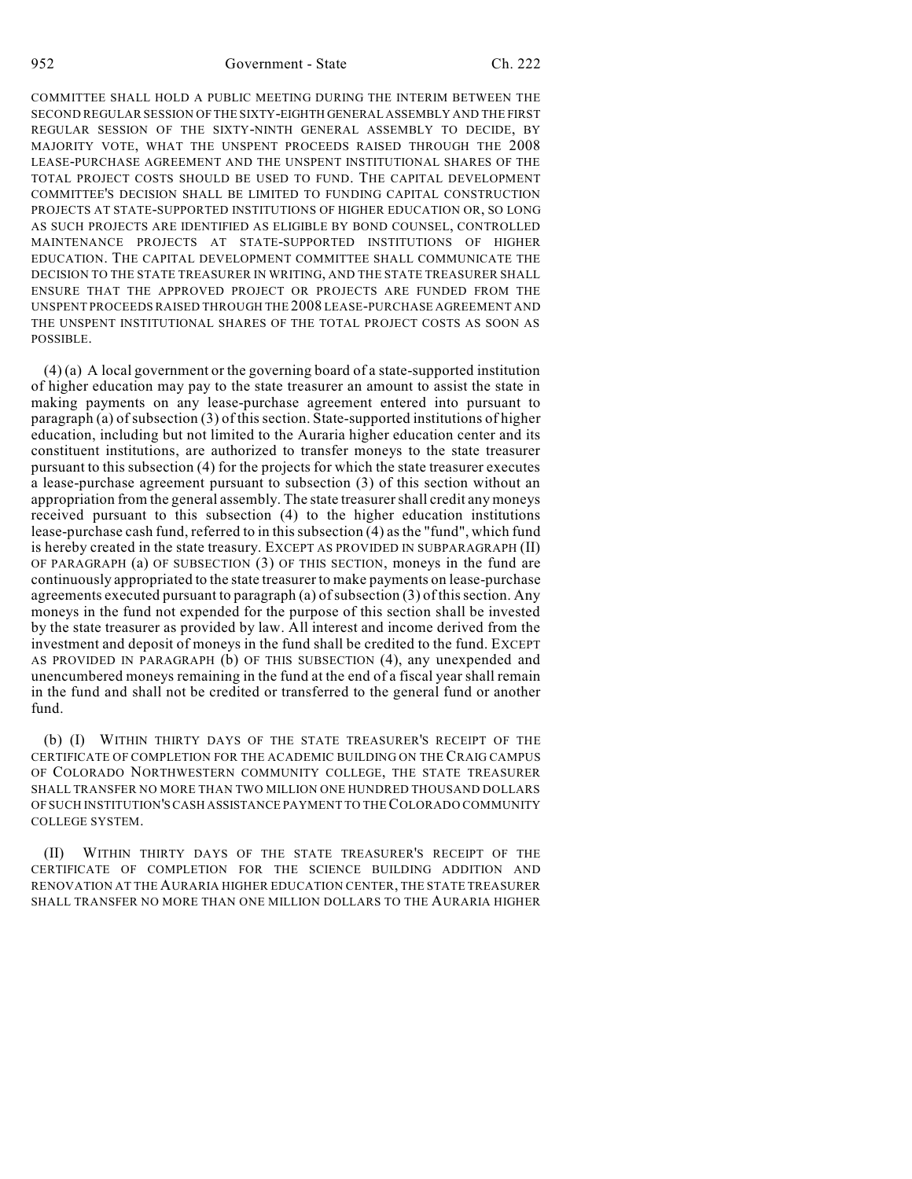952 Government - State Ch. 222

COMMITTEE SHALL HOLD A PUBLIC MEETING DURING THE INTERIM BETWEEN THE SECOND REGULAR SESSION OF THE SIXTY-EIGHTH GENERAL ASSEMBLY AND THE FIRST REGULAR SESSION OF THE SIXTY-NINTH GENERAL ASSEMBLY TO DECIDE, BY MAJORITY VOTE, WHAT THE UNSPENT PROCEEDS RAISED THROUGH THE 2008 LEASE-PURCHASE AGREEMENT AND THE UNSPENT INSTITUTIONAL SHARES OF THE TOTAL PROJECT COSTS SHOULD BE USED TO FUND. THE CAPITAL DEVELOPMENT COMMITTEE'S DECISION SHALL BE LIMITED TO FUNDING CAPITAL CONSTRUCTION PROJECTS AT STATE-SUPPORTED INSTITUTIONS OF HIGHER EDUCATION OR, SO LONG AS SUCH PROJECTS ARE IDENTIFIED AS ELIGIBLE BY BOND COUNSEL, CONTROLLED MAINTENANCE PROJECTS AT STATE-SUPPORTED INSTITUTIONS OF HIGHER EDUCATION. THE CAPITAL DEVELOPMENT COMMITTEE SHALL COMMUNICATE THE DECISION TO THE STATE TREASURER IN WRITING, AND THE STATE TREASURER SHALL ENSURE THAT THE APPROVED PROJECT OR PROJECTS ARE FUNDED FROM THE UNSPENT PROCEEDS RAISED THROUGH THE 2008 LEASE-PURCHASE AGREEMENT AND THE UNSPENT INSTITUTIONAL SHARES OF THE TOTAL PROJECT COSTS AS SOON AS POSSIBLE.

(4) (a) A local government or the governing board of a state-supported institution of higher education may pay to the state treasurer an amount to assist the state in making payments on any lease-purchase agreement entered into pursuant to paragraph (a) of subsection (3) of thissection. State-supported institutions of higher education, including but not limited to the Auraria higher education center and its constituent institutions, are authorized to transfer moneys to the state treasurer pursuant to this subsection (4) for the projects for which the state treasurer executes a lease-purchase agreement pursuant to subsection (3) of this section without an appropriation from the general assembly. The state treasurershall credit any moneys received pursuant to this subsection (4) to the higher education institutions lease-purchase cash fund, referred to in this subsection (4) as the "fund", which fund is hereby created in the state treasury. EXCEPT AS PROVIDED IN SUBPARAGRAPH (II) OF PARAGRAPH (a) OF SUBSECTION (3) OF THIS SECTION, moneys in the fund are continuously appropriated to the state treasurer to make payments on lease-purchase agreements executed pursuant to paragraph (a) of subsection  $(3)$  of this section. Any moneys in the fund not expended for the purpose of this section shall be invested by the state treasurer as provided by law. All interest and income derived from the investment and deposit of moneys in the fund shall be credited to the fund. EXCEPT AS PROVIDED IN PARAGRAPH (b) OF THIS SUBSECTION (4), any unexpended and unencumbered moneys remaining in the fund at the end of a fiscal year shall remain in the fund and shall not be credited or transferred to the general fund or another fund.

(b) (I) WITHIN THIRTY DAYS OF THE STATE TREASURER'S RECEIPT OF THE CERTIFICATE OF COMPLETION FOR THE ACADEMIC BUILDING ON THE CRAIG CAMPUS OF COLORADO NORTHWESTERN COMMUNITY COLLEGE, THE STATE TREASURER SHALL TRANSFER NO MORE THAN TWO MILLION ONE HUNDRED THOUSAND DOLLARS OF SUCH INSTITUTION'SCASH ASSISTANCE PAYMENT TO THECOLORADO COMMUNITY COLLEGE SYSTEM.

(II) WITHIN THIRTY DAYS OF THE STATE TREASURER'S RECEIPT OF THE CERTIFICATE OF COMPLETION FOR THE SCIENCE BUILDING ADDITION AND RENOVATION AT THE AURARIA HIGHER EDUCATION CENTER, THE STATE TREASURER SHALL TRANSFER NO MORE THAN ONE MILLION DOLLARS TO THE AURARIA HIGHER